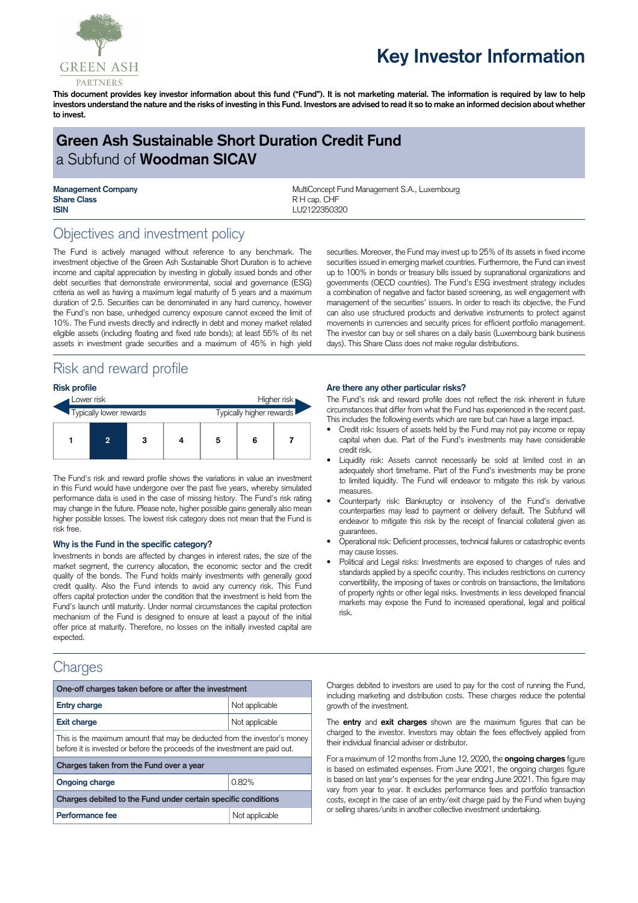

# **Key Investor Information**

This document provides key investor information about this fund ("Fund"). It is not marketing material. The information is required by law to help investors understand the nature and the risks of investing in this Fund. Investors are advised to read it so to make an informed decision about whether **to invest.**

# **Green Ash Sustainable Short Duration Credit Fund** a Subfund of **Woodman SICAV**

**Share Class** R H cap. CHF **ISIN** LU2122350320

**Management Company MultiConcept Fund Management S.A., Luxembourg MultiConcept Fund Management S.A., Luxembourg** 

## Objectives and investment policy

The Fund is actively managed without reference to any benchmark. The investment objective of the Green Ash Sustainable Short Duration is to achieve income and capital appreciation by investing in globally issued bonds and other debt securities that demonstrate environmental, social and governance (ESG) criteria as well as having a maximum legal maturity of 5 years and a maximum duration of 2.5. Securities can be denominated in any hard currency, however the Fund's non base, unhedged currency exposure cannot exceed the limit of 10%. The Fund invests directly and indirectly in debt and money market related eligible assets (including floating and fixed rate bonds); at least 55% of its net assets in investment grade securities and a maximum of 45% in high yield

# Risk and reward profile

| <b>Risk profile</b>     |                |   |  |                          |   |  |  |
|-------------------------|----------------|---|--|--------------------------|---|--|--|
| Lower risk              |                |   |  | Higher risk              |   |  |  |
| Typically lower rewards |                |   |  | Typically higher rewards |   |  |  |
|                         | $\overline{2}$ | 3 |  | 5                        | 6 |  |  |

The Fund's risk and reward profile shows the variations in value an investment in this Fund would have undergone over the past five years, whereby simulated performance data is used in the case of missing history. The Fund's risk rating may change in the future. Please note, higher possible gains generally also mean higher possible losses. The lowest risk category does not mean that the Fund is risk free.

#### **Why is the Fund in the specific category?**

Investments in bonds are affected by changes in interest rates, the size of the market segment, the currency allocation, the economic sector and the credit quality of the bonds. The Fund holds mainly investments with generally good credit quality. Also the Fund intends to avoid any currency risk. This Fund offers capital protection under the condition that the investment is held from the Fund's launch until maturity. Under normal circumstances the capital protection mechanism of the Fund is designed to ensure at least a payout of the initial offer price at maturity. Therefore, no losses on the initially invested capital are expected.

### **Charges**

| One-off charges taken before or after the investment                                                                                                      |                |  |  |  |  |
|-----------------------------------------------------------------------------------------------------------------------------------------------------------|----------------|--|--|--|--|
| <b>Entry charge</b>                                                                                                                                       | Not applicable |  |  |  |  |
| <b>Exit charge</b>                                                                                                                                        | Not applicable |  |  |  |  |
| This is the maximum amount that may be deducted from the investor's money<br>before it is invested or before the proceeds of the investment are paid out. |                |  |  |  |  |
| Charges taken from the Fund over a year                                                                                                                   |                |  |  |  |  |
| <b>Ongoing charge</b>                                                                                                                                     | 0.82%          |  |  |  |  |
| Charges debited to the Fund under certain specific conditions                                                                                             |                |  |  |  |  |
| Performance fee                                                                                                                                           | Not applicable |  |  |  |  |

securities. Moreover, the Fund may invest up to 25% of its assets in fixed income securities issued in emerging market countries. Furthermore, the Fund can invest up to 100% in bonds or treasury bills issued by supranational organizations and governments (OECD countries). The Fund's ESG investment strategy includes a combination of negative and factor based screening, as well engagement with management of the securities' issuers. In order to reach its objective, the Fund can also use structured products and derivative instruments to protect against movements in currencies and security prices for efficient portfolio management. The investor can buy or sell shares on a daily basis (Luxembourg bank business days). This Share Class does not make regular distributions.

#### **Are there any other particular risks?**

The Fund's risk and reward profile does not reflect the risk inherent in future circumstances that differ from what the Fund has experienced in the recent past. This includes the following events which are rare but can have a large impact.

- Credit risk: Issuers of assets held by the Fund may not pay income or repay capital when due. Part of the Fund's investments may have considerable credit risk.
- Liquidity risk: Assets cannot necessarily be sold at limited cost in an adequately short timeframe. Part of the Fund's investments may be prone to limited liquidity. The Fund will endeavor to mitigate this risk by various measures.
- Counterparty risk: Bankruptcy or insolvency of the Fund's derivative counterparties may lead to payment or delivery default. The Subfund will endeavor to mitigate this risk by the receipt of financial collateral given as guarantees.
- Operational risk: Deficient processes, technical failures or catastrophic events may cause losses.
- Political and Legal risks: Investments are exposed to changes of rules and standards applied by a specific country. This includes restrictions on currency convertibility, the imposing of taxes or controls on transactions, the limitations of property rights or other legal risks. Investments in less developed financial markets may expose the Fund to increased operational, legal and political risk.

Charges debited to investors are used to pay for the cost of running the Fund, including marketing and distribution costs. These charges reduce the potential growth of the investment.

The **entry** and **exit charges** shown are the maximum figures that can be charged to the investor. Investors may obtain the fees effectively applied from their individual financial adviser or distributor.

For a maximum of 12 months from June 12, 2020, the **ongoing charges** figure is based on estimated expenses. From June 2021, the ongoing charges figure is based on last year's expenses for the year ending June 2021. This figure may vary from year to year. It excludes performance fees and portfolio transaction costs, except in the case of an entry/exit charge paid by the Fund when buying or selling shares/units in another collective investment undertaking.